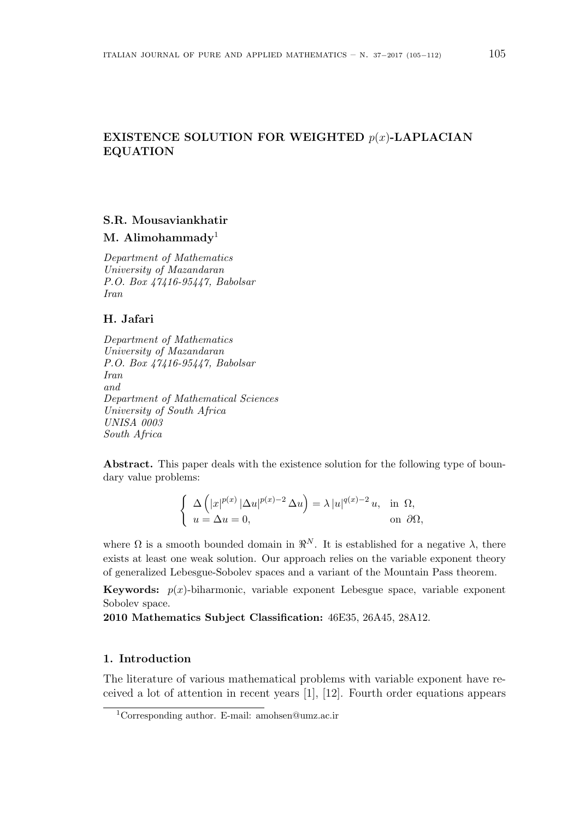## **EXISTENCE SOLUTION FOR WEIGHTED** *p*(*x*)**-LAPLACIAN EQUATION**

# **S.R. Mousaviankhatir**

**M. Alimohammady**<sup>1</sup>

*Department of Mathematics University of Mazandaran P.O. Box 47416-95447, Babolsar Iran*

## **H. Jafari**

*Department of Mathematics University of Mazandaran P.O. Box 47416-95447, Babolsar Iran and Department of Mathematical Sciences University of South Africa UNISA 0003 South Africa*

**Abstract.** This paper deals with the existence solution for the following type of boundary value problems:

$$
\begin{cases} \Delta \left( |x|^{p(x)} |\Delta u|^{p(x)-2} \Delta u \right) = \lambda |u|^{q(x)-2} u, & \text{in } \Omega, \\ u = \Delta u = 0, & \text{on } \partial \Omega, \end{cases}
$$

where  $\Omega$  is a smooth bounded domain in  $\mathbb{R}^N$ . It is established for a negative  $\lambda$ , there exists at least one weak solution. Our approach relies on the variable exponent theory of generalized Lebesgue-Sobolev spaces and a variant of the Mountain Pass theorem.

**Keywords:**  $p(x)$ -biharmonic, variable exponent Lebesgue space, variable exponent Sobolev space.

**2010 Mathematics Subject Classification:** 46E35, 26A45, 28A12.

## **1. Introduction**

The literature of various mathematical problems with variable exponent have received a lot of attention in recent years [1], [12]. Fourth order equations appears

<sup>1</sup>Corresponding author. E-mail: amohsen@umz.ac.ir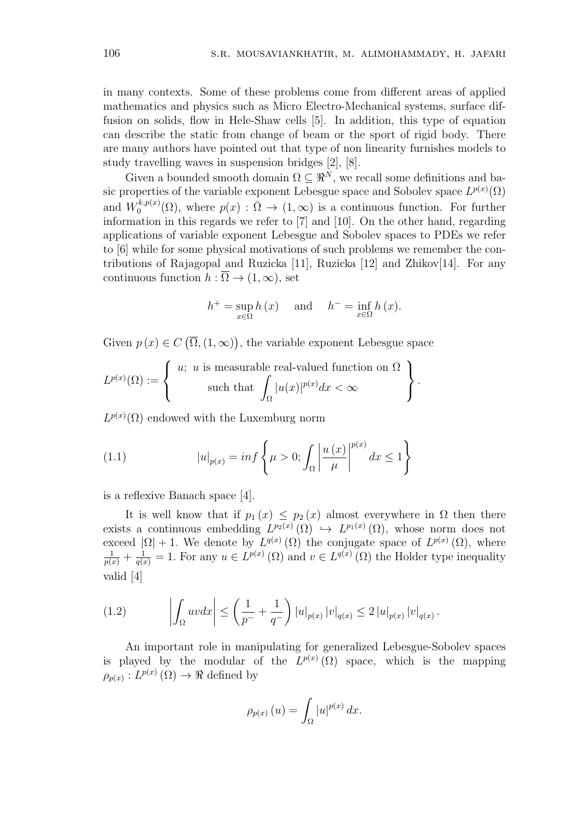in many contexts. Some of these problems come from different areas of applied mathematics and physics such as Micro Electro-Mechanical systems, surface diffusion on solids, flow in Hele-Shaw cells [5]. In addition, this type of equation can describe the static from change of beam or the sport of rigid body. There are many authors have pointed out that type of non linearity furnishes models to study travelling waves in suspension bridges [2], [8].

Given a bounded smooth domain  $\Omega \subseteq \mathbb{R}^N$ , we recall some definitions and basic properties of the variable exponent Lebesgue space and Sobolev space  $L^{p(x)}(\Omega)$ and  $W_0^{k,p(x)}$  $\Omega_0^{k,p(x)}(\Omega)$ , where  $p(x) : \overline{\Omega} \to (1,\infty)$  is a continuous function. For further information in this regards we refer to [7] and [10]. On the other hand, regarding applications of variable exponent Lebesgue and Sobolev spaces to PDEs we refer to [6] while for some physical motivations of such problems we remember the contributions of Rajagopal and Ruzicka [11], Ruzicka [12] and Zhikov[14]. For any continuous function  $h : \overline{\Omega} \to (1, \infty)$ , set

$$
h^{+} = \sup_{x \in \Omega} h(x) \quad \text{and} \quad h^{-} = \inf_{x \in \Omega} h(x).
$$

Given  $p(x) \in C(\overline{\Omega}, (1, \infty))$ , the variable exponent Lebesgue space

$$
L^{p(x)}(\Omega) := \left\{ \begin{array}{c} u; \ u \ \text{is measurable real-valued function on} \ \Omega \\ \text{such that} \ \int_{\Omega} |u(x)|^{p(x)} dx < \infty \end{array} \right\}.
$$

 $L^{p(x)}(\Omega)$  endowed with the Luxemburg norm

(1.1) 
$$
|u|_{p(x)} = \inf \left\{ \mu > 0; \int_{\Omega} \left| \frac{u(x)}{\mu} \right|^{p(x)} dx \le 1 \right\}
$$

is a reflexive Banach space [4].

It is well know that if  $p_1(x) \leq p_2(x)$  almost everywhere in  $\Omega$  then there exists a continuous embedding  $L^{p_2(x)}(\Omega) \hookrightarrow L^{p_1(x)}(\Omega)$ , whose norm does not exceed  $|\Omega| + 1$ . We denote by  $L^{q(x)}(\Omega)$  the conjugate space of  $L^{p(x)}(\Omega)$ , where  $\frac{1}{p(x)} + \frac{1}{q(x)} = 1$ . For any  $u \in L^{p(x)}(\Omega)$  and  $v \in L^{q(x)}(\Omega)$  the Holder type inequality valid [4]

(1.2) 
$$
\left| \int_{\Omega} uv dx \right| \leq \left( \frac{1}{p^{-}} + \frac{1}{q^{-}} \right) |u|_{p(x)} |v|_{q(x)} \leq 2 |u|_{p(x)} |v|_{q(x)}.
$$

An important role in manipulating for generalized Lebesgue-Sobolev spaces is played by the modular of the  $L^{p(x)}(\Omega)$  space, which is the mapping  $\rho_{p(x)}: L^{p(x)}(\Omega) \to \Re$  defined by

$$
\rho_{p(x)}(u) = \int_{\Omega} |u|^{p(x)} dx.
$$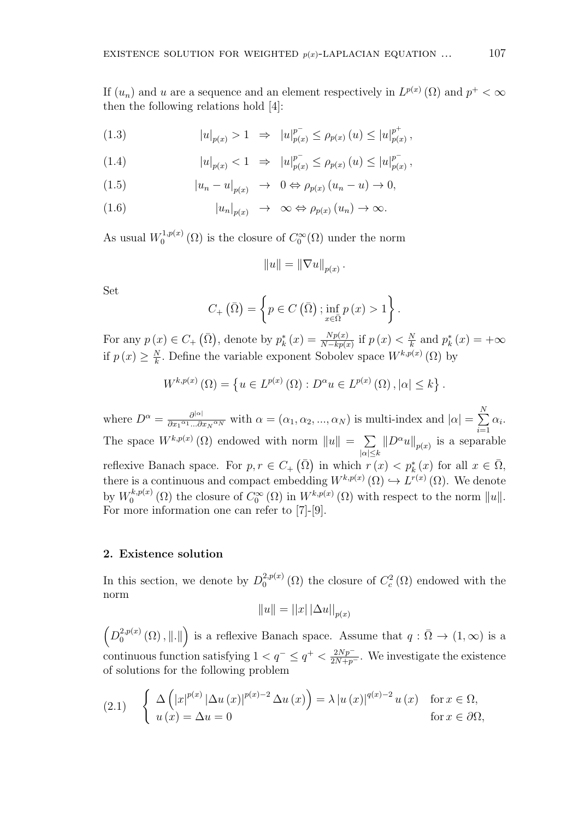If  $(u_n)$  and *u* are a sequence and an element respectively in  $L^{p(x)}(\Omega)$  and  $p^+ < \infty$ then the following relations hold [4]:

(1.3) 
$$
|u|_{p(x)} > 1 \Rightarrow |u|_{p(x)}^{p^-} \le \rho_{p(x)}(u) \le |u|_{p(x)}^{p^+},
$$

(1.4) 
$$
|u|_{p(x)} < 1 \Rightarrow |u|_{p(x)}^{p^-} \le \rho_{p(x)} (u) \le |u|_{p(x)}^{p^-},
$$

(1.5) 
$$
|u_n - u|_{p(x)} \to 0 \Leftrightarrow \rho_{p(x)} (u_n - u) \to 0,
$$

(1.6) 
$$
|u_n|_{p(x)} \to \infty \Leftrightarrow \rho_{p(x)}(u_n) \to \infty.
$$

As usual  $W_0^{1,p(x)}$  $\int_0^{1,p(x)} (\Omega)$  is the closure of  $C_0^{\infty}(\Omega)$  under the norm

$$
||u|| = ||\nabla u||_{p(x)}.
$$

Set

$$
C_{+}(\bar{\Omega}) = \left\{ p \in C\left(\bar{\Omega}\right) ; \inf_{x \in \bar{\Omega}} p\left(x\right) > 1 \right\}
$$

*.*

For any  $p(x) \in C_+$   $(\bar{\Omega})$ , denote by  $p_k^*(x) = \frac{Np(x)}{N - kp(x)}$  if  $p(x) < \frac{N}{k}$  $\frac{N}{k}$  and  $p_k^*(x) = +\infty$ if  $p(x) \geq \frac{N}{k}$  $\frac{N}{k}$ . Define the variable exponent Sobolev space  $W^{k,p(x)}(\Omega)$  by

$$
W^{k,p(x)}(\Omega) = \left\{ u \in L^{p(x)}(\Omega) : D^{\alpha}u \in L^{p(x)}(\Omega), |\alpha| \le k \right\}.
$$

where  $D^{\alpha} = \frac{\partial^{|\alpha|}}{\partial x_1^{\alpha} + \partial x_2^{\alpha}}$  $\frac{\partial^{|\alpha|}}{\partial x_1^{\alpha_1}...\partial x_N^{\alpha_N}}$  with  $\alpha = (\alpha_1, \alpha_2, ..., \alpha_N)$  is multi-index and  $|\alpha| = \sum_{i=1}^N$ *i*=1 *αi .* The space  $W^{k,p(x)}(\Omega)$  endowed with norm  $||u|| = \sum$ *|α|≤k*  $||D^{\alpha}u||_{p(x)}$  is a separable reflexive Banach space. For  $p, r \in C_+$  ( $\overline{\Omega}$ ) in which  $r(x) < p_k^*(x)$  for all  $x \in \overline{\Omega}$ , there is a continuous and compact embedding  $W^{k,p(x)}(\Omega) \hookrightarrow L^{r(x)}(\Omega)$ . We denote by  $W_0^{k,p(x)}$  $\int_0^{k,p(x)} (\Omega)$  the closure of  $C_0^{\infty} (\Omega)$  in  $W^{k,p(x)} (\Omega)$  with respect to the norm  $||u||$ . For more information one can refer to [7]-[9].

### **2. Existence solution**

In this section, we denote by  $D_0^{2,p(x)}$  $L_0^{2,p(x)}(\Omega)$  the closure of  $C_c^2(\Omega)$  endowed with the norm

$$
||u|| = ||x|| \Delta u||_{p(x)}
$$

 $\left(D_0^{2,p(x)}\right)$  $\mathbb{R}^{2,p(x)}(0)$ ,  $||.||$ ) is a reflexive Banach space. Assume that  $q: \overline{\Omega} \to (1,\infty)$  is a continuous function satisfying  $1 < q^- \leq q^+ < \frac{2Np^-}{2N+p^-}$ . We investigate the existence of solutions for the following problem

(2.1) 
$$
\begin{cases} \Delta \left( |x|^{p(x)} |\Delta u(x)|^{p(x)-2} \Delta u(x) \right) = \lambda |u(x)|^{q(x)-2} u(x) & \text{for } x \in \Omega, \\ u(x) = \Delta u = 0 & \text{for } x \in \partial\Omega, \end{cases}
$$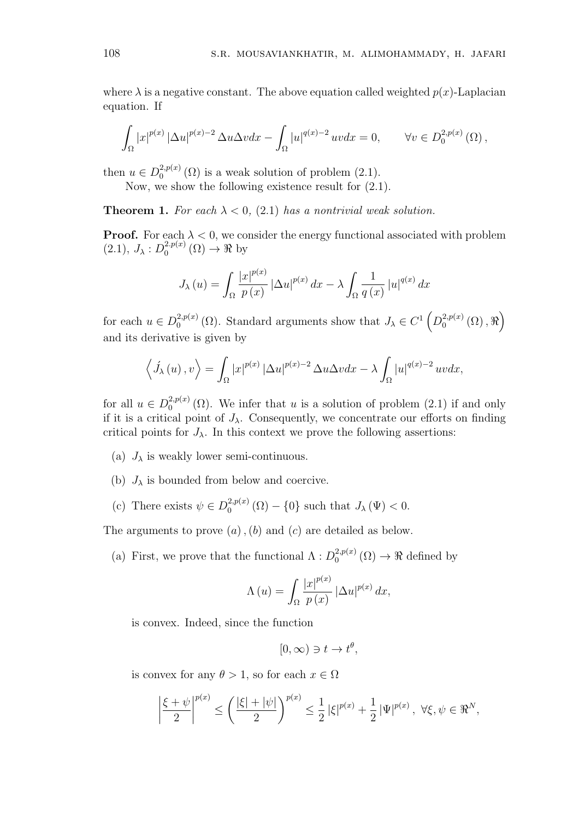where  $\lambda$  is a negative constant. The above equation called weighted  $p(x)$ -Laplacian equation. If

$$
\int_{\Omega} |x|^{p(x)} \left| \Delta u \right|^{p(x)-2} \Delta u \Delta v dx - \int_{\Omega} |u|^{q(x)-2} u v dx = 0, \qquad \forall v \in D_0^{2,p(x)}(\Omega),
$$

then  $u \in D_0^{2,p(x)}$  $_{0}^{2,p(x)}(\Omega)$  is a weak solution of problem  $(2.1)$ .

Now, we show the following existence result for (2.1).

**Theorem 1.** For each  $\lambda < 0$ , (2.1) has a nontrivial weak solution.

**Proof.** For each  $\lambda < 0$ , we consider the energy functional associated with problem  $(2.1), J_{\lambda}: D_0^{2.p(x)}$  $_{0}^{2,p(x)}(\Omega)\rightarrow\Re$  by

$$
J_{\lambda}(u) = \int_{\Omega} \frac{|x|^{p(x)}}{p(x)} |\Delta u|^{p(x)} dx - \lambda \int_{\Omega} \frac{1}{q(x)} |u|^{q(x)} dx
$$

for each  $u \in D_0^{2,p(x)}$  $O_0^{2,p(x)}$  ( $\Omega$ ). Standard arguments show that  $J_\lambda \in C^1$   $\left(D_0^{2,p(x)}\right)$  $_{0}^{2,p(x)}(\Omega),\Re\Big)$ and its derivative is given by

$$
\langle \dot{J}_{\lambda}(u), v \rangle = \int_{\Omega} |x|^{p(x)} |\Delta u|^{p(x)-2} \Delta u \Delta v dx - \lambda \int_{\Omega} |u|^{q(x)-2} uv dx,
$$

for all  $u \in D_0^{2,p(x)}$  $\mathcal{L}_0^{2,p(x)}(\Omega)$ . We infer that *u* is a solution of problem  $(2.1)$  if and only if it is a critical point of  $J_\lambda$ . Consequently, we concentrate our efforts on finding critical points for  $J_{\lambda}$ . In this context we prove the following assertions:

- (a)  $J_{\lambda}$  is weakly lower semi-continuous.
- (b)  $J_{\lambda}$  is bounded from below and coercive.
- (c) There exists  $\psi \in D_0^{2,p(x)}$  $J_{\lambda}(\Psi) < 0.$  (0)  $-\{0\}$  such that  $J_{\lambda}(\Psi) < 0.$

The arguments to prove (*a*)*,*(*b*) and (*c*) are detailed as below.

(a) First, we prove that the functional  $\Lambda : D_0^{2,p(x)}$  $_{0}^{2,p(x)}(\Omega) \rightarrow \Re$  defined by

$$
\Lambda(u) = \int_{\Omega} \frac{|x|^{p(x)}}{p(x)} |\Delta u|^{p(x)} dx,
$$

is convex. Indeed, since the function

$$
[0,\infty) \ni t \to t^{\theta},
$$

is convex for any  $\theta > 1$ , so for each  $x \in \Omega$ 

$$
\left|\frac{\xi+\psi}{2}\right|^{p(x)} \le \left(\frac{|\xi|+|\psi|}{2}\right)^{p(x)} \le \frac{1}{2} |\xi|^{p(x)} + \frac{1}{2} |\Psi|^{p(x)}, \ \forall \xi, \psi \in \Re^N,
$$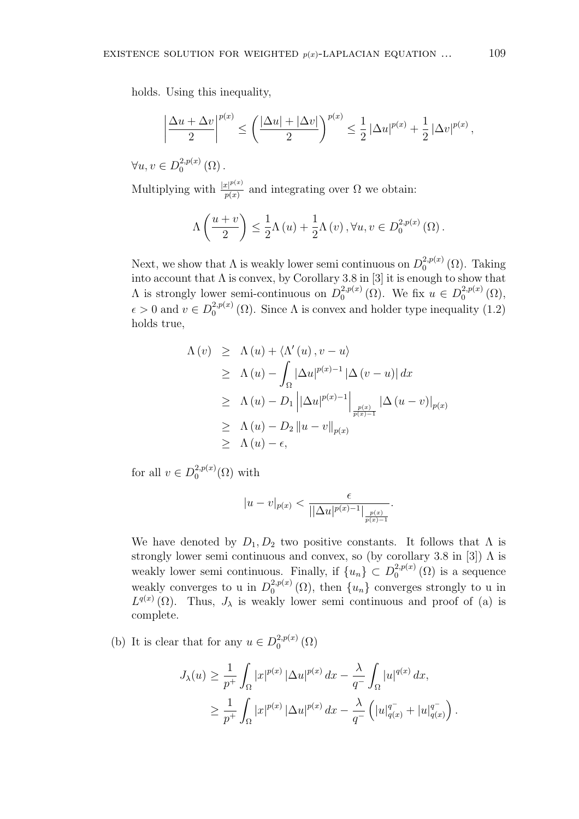holds. Using this inequality,

$$
\left|\frac{\Delta u + \Delta v}{2}\right|^{p(x)} \le \left(\frac{|\Delta u| + |\Delta v|}{2}\right)^{p(x)} \le \frac{1}{2} |\Delta u|^{p(x)} + \frac{1}{2} |\Delta v|^{p(x)},
$$

 $∀u, v ∈ D<sub>0</sub><sup>2,p(x)</sup>$  $_{0}^{2,p(x)}(\Omega)$ .

Multiplying with  $\frac{|x|^{p(x)}}{p(x)}$  $p(x)$  and integrating over  $\Omega$  we obtain:

$$
\Lambda\left(\frac{u+v}{2}\right) \leq \frac{1}{2}\Lambda\left(u\right) + \frac{1}{2}\Lambda\left(v\right), \forall u, v \in D_0^{2,p(x)}\left(\Omega\right).
$$

Next, we show that  $\Lambda$  is weakly lower semi continuous on  $D_0^{2,p(x)}$  $_{0}^{2,p(x)}(\Omega)$ . Taking into account that  $\Lambda$  is convex, by Corollary 3.8 in [3] it is enough to show that  $\Lambda$  is strongly lower semi-continuous on  $D_0^{2,p(x)}$  $_{0}^{2,p(x)}(\Omega)$ . We fix  $u \in D_{0}^{2,p(x)}$  $_0^{2,p(x)}(\Omega),$  $\epsilon > 0$  and  $v \in D_0^{2,p(x)}$  $\mathcal{L}_0^{2,p(x)}(\Omega)$ . Since  $\Lambda$  is convex and holder type inequality (1.2) holds true,

$$
\Lambda(v) \geq \Lambda(u) + \langle \Lambda'(u), v - u \rangle
$$
  
\n
$$
\geq \Lambda(u) - \int_{\Omega} |\Delta u|^{p(x)-1} |\Delta (v - u)| dx
$$
  
\n
$$
\geq \Lambda(u) - D_1 ||\Delta u|^{p(x)-1} \Big|_{\frac{p(x)}{p(x)-1}} |\Delta (u - v)|_{p(x)}
$$
  
\n
$$
\geq \Lambda(u) - D_2 ||u - v||_{p(x)}
$$
  
\n
$$
\geq \Lambda(u) - \epsilon,
$$

for all  $v \in D_0^{2,p(x)}$  $_0^{2,p(x)}(\Omega)$  with

$$
|u-v|_{p(x)} < \frac{\epsilon}{||\Delta u|^{p(x)-1}|_{\frac{p(x)}{p(x)-1}}}.
$$

We have denoted by  $D_1, D_2$  two positive constants. It follows that  $\Lambda$  is strongly lower semi continuous and convex, so (by corollary 3.8 in [3])  $\Lambda$  is weakly lower semi continuous. Finally, if  $\{u_n\} \subset D_0^{2,p(x)}$  $_{0}^{2,p(x)}(\Omega)$  is a sequence weakly converges to u in  $D_0^{2,p(x)}$  $\binom{2,p(x)}{0}$  ( $\Omega$ ), then  $\{u_n\}$  converges strongly to u in  $L^{q(x)}(\Omega)$ . Thus,  $J_{\lambda}$  is weakly lower semi continuous and proof of (a) is complete.

(b) It is clear that for any  $u \in D_0^{2,p(x)}$  $_0^{2,p(x)}(\Omega)$ 

$$
J_{\lambda}(u) \geq \frac{1}{p^{+}} \int_{\Omega} |x|^{p(x)} \, |\Delta u|^{p(x)} \, dx - \frac{\lambda}{q^{-}} \int_{\Omega} |u|^{q(x)} \, dx,
$$
  

$$
\geq \frac{1}{p^{+}} \int_{\Omega} |x|^{p(x)} \, |\Delta u|^{p(x)} \, dx - \frac{\lambda}{q^{-}} \left( |u|_{q(x)}^{q^{-}} + |u|_{q(x)}^{q^{-}} \right)
$$

*.*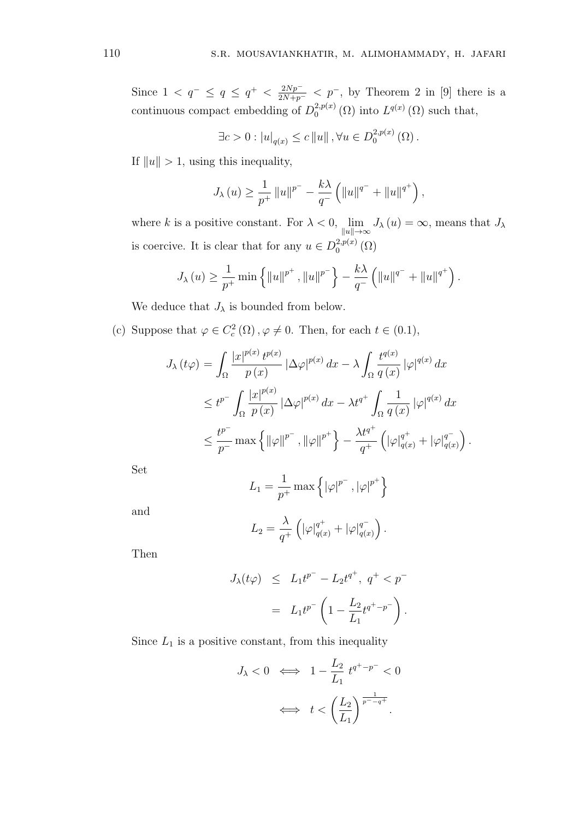Since  $1 < q^- \le q \le q^+ < \frac{2Np^-}{2N+p^-} < p^-$ , by Theorem 2 in [9] there is a continuous compact embedding of  $D_0^{2,p(x)}$  $L^{2,p(x)}(\Omega)$  into  $L^{q(x)}(\Omega)$  such that,

$$
\exists c > 0 : |u|_{q(x)} \le c ||u||, \forall u \in D_0^{2,p(x)}(\Omega).
$$

If  $||u|| > 1$ , using this inequality,

$$
J_{\lambda}(u) \ge \frac{1}{p^+} ||u||^{p^-} - \frac{k\lambda}{q^-} (||u||^{q^-} + ||u||^{q^+}),
$$

where *k* is a positive constant. For  $\lambda < 0$ ,  $\lim_{h \to 0}$ *∥u∥→∞*  $J_{\lambda}(u) = \infty$ , means that  $J_{\lambda}$ is coercive. It is clear that for any  $u \in D_0^{2,p(x)}$  $_0^{2,p(x)}(\Omega)$ 

$$
J_{\lambda}(u) \ge \frac{1}{p^+} \min \left\{ ||u||^{p^+}, ||u||^{p^-} \right\} - \frac{k\lambda}{q^-} \left( ||u||^{q^-} + ||u||^{q^+} \right).
$$

We deduce that  $J_{\lambda}$  is bounded from below.

(c) Suppose that  $\varphi \in C_c^2(\Omega)$ ,  $\varphi \neq 0$ . Then, for each  $t \in (0.1)$ ,

$$
J_{\lambda}(t\varphi) = \int_{\Omega} \frac{|x|^{p(x)} t^{p(x)}}{p(x)} |\Delta \varphi|^{p(x)} dx - \lambda \int_{\Omega} \frac{t^{q(x)}}{q(x)} |\varphi|^{q(x)} dx
$$
  

$$
\leq t^{p^{-}} \int_{\Omega} \frac{|x|^{p(x)}}{p(x)} |\Delta \varphi|^{p(x)} dx - \lambda t^{q^{+}} \int_{\Omega} \frac{1}{q(x)} |\varphi|^{q(x)} dx
$$
  

$$
\leq \frac{t^{p^{-}}}{p^{-}} \max \{ ||\varphi||^{p^{-}}, ||\varphi||^{p^{+}} \} - \frac{\lambda t^{q^{+}}}{q^{+}} \left( |\varphi|_{q(x)}^{q^{+}} + |\varphi|_{q(x)}^{q^{-}} \right).
$$

Set

$$
L_1 = \frac{1}{p^+} \max \left\{ |\varphi|^{p^-}, |\varphi|^{p^+} \right\}
$$

and

$$
L_2 = \frac{\lambda}{q^+} \left( |\varphi|_{q(x)}^{q^+} + |\varphi|_{q(x)}^{q^-} \right).
$$

Then

$$
J_{\lambda}(t\varphi) \leq L_1 t^{p^-} - L_2 t^{q^+}, \ q^+ < p^-
$$
\n
$$
= L_1 t^{p^-} \left( 1 - \frac{L_2}{L_1} t^{q^+ - p^-} \right).
$$

Since  $L_1$  is a positive constant, from this inequality

$$
J_{\lambda} < 0 \iff 1 - \frac{L_2}{L_1} t^{q^+ - p^-} < 0
$$
\n
$$
\iff t < \left(\frac{L_2}{L_1}\right)^{\frac{1}{p^- - q^+}}.
$$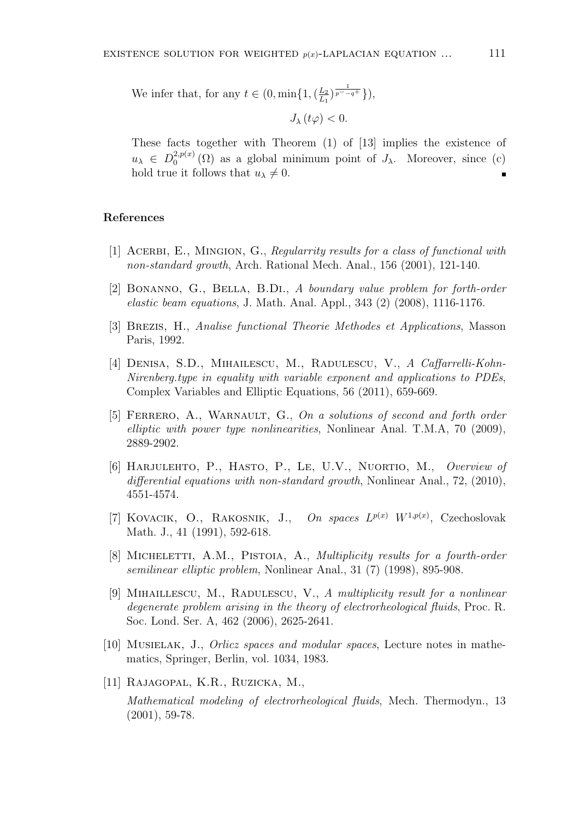We infer that, for any  $t \in (0, \min\{1, \frac{L_2}{L_1})\}$  $\frac{L_2}{L_1}$  $\frac{1}{p^- - q^+}$ }),

$$
J_{\lambda}\left( t\varphi\right) <0.
$$

These facts together with Theorem (1) of [13] implies the existence of  $u_{\lambda} \in D_0^{2,p(x)}$  $Q_0^{2,p(x)}(\Omega)$  as a global minimum point of  $J_\lambda$ . Moreover, since (c) hold true it follows that  $u_{\lambda} \neq 0$ .  $\blacksquare$ 

### **References**

- [1] Acerbi, E., Mingion, G., *Regularrity results for a class of functional with non-standard growth*, Arch. Rational Mech. Anal., 156 (2001), 121-140.
- [2] Bonanno, G., Bella, B.Di., *A boundary value problem for forth-order elastic beam equations*, J. Math. Anal. Appl., 343 (2) (2008), 1116-1176.
- [3] Brezis, H., *Analise functional Theorie Methodes et Applications*, Masson Paris, 1992.
- [4] Denisa, S.D., Mihailescu, M., Radulescu, V., *A Caffarrelli-Kohn-Nirenberg.type in equality with variable exponent and applications to PDEs*, Complex Variables and Elliptic Equations, 56 (2011), 659-669.
- [5] Ferrero, A., Warnault, G., *On a solutions of second and forth order elliptic with power type nonlinearities*, Nonlinear Anal. T.M.A, 70 (2009), 2889-2902.
- [6] Harjulehto, P., Hasto, P., Le, U.V., Nuortio, M., *Overview of differential equations with non-standard growth*, Nonlinear Anal., 72, (2010), 4551-4574.
- [7] KOVACIK, O., RAKOSNIK, J., On spaces  $L^{p(x)}$   $W^{1,p(x)}$ , Czechoslovak Math. J., 41 (1991), 592-618.
- [8] MICHELETTI, A.M., PISTOIA, A., *Multiplicity results for a fourth-order semilinear elliptic problem*, Nonlinear Anal., 31 (7) (1998), 895-908.
- [9] Mihaillescu, M., Radulescu, V., *A multiplicity result for a nonlinear degenerate problem arising in the theory of electrorheological fluids*, Proc. R. Soc. Lond. Ser. A, 462 (2006), 2625-2641.
- [10] Musielak, J., *Orlicz spaces and modular spaces*, Lecture notes in mathematics, Springer, Berlin, vol. 1034, 1983.
- [11] Rajagopal, K.R., Ruzicka, M.,

*Mathematical modeling of electrorheological fluids*, Mech. Thermodyn., 13 (2001), 59-78.